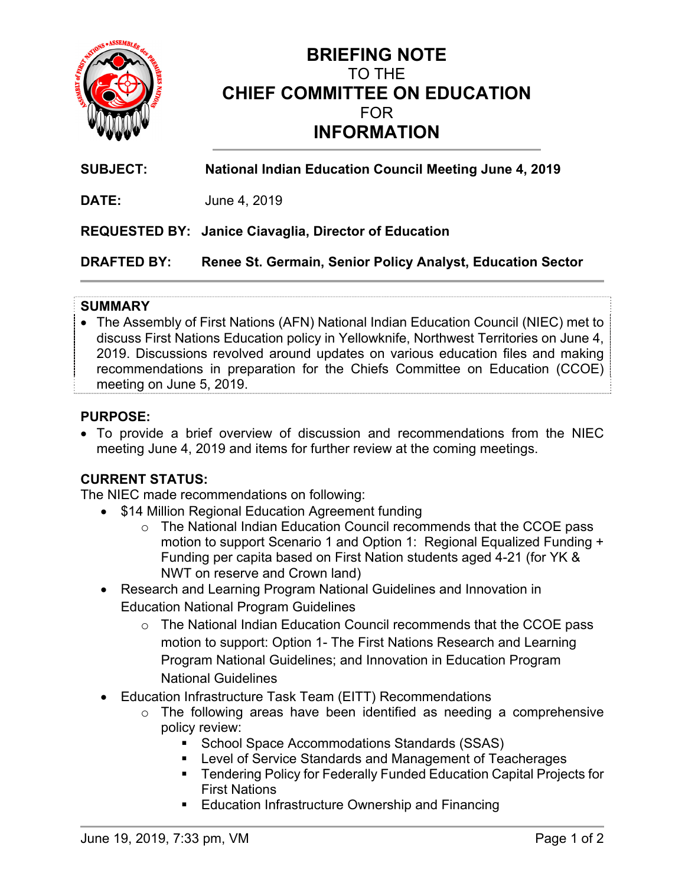

# **BRIEFING NOTE**  TO THE **CHIEF COMMITTEE ON EDUCATION**  FOR **INFORMATION**

**SUBJECT: National Indian Education Council Meeting June 4, 2019** 

**DATE:** June 4, 2019

**REQUESTED BY: Janice Ciavaglia, Director of Education** 

**DRAFTED BY: Renee St. Germain, Senior Policy Analyst, Education Sector**

#### **SUMMARY**

 The Assembly of First Nations (AFN) National Indian Education Council (NIEC) met to discuss First Nations Education policy in Yellowknife, Northwest Territories on June 4, 2019. Discussions revolved around updates on various education files and making recommendations in preparation for the Chiefs Committee on Education (CCOE) meeting on June 5, 2019.

#### **PURPOSE:**

 To provide a brief overview of discussion and recommendations from the NIEC meeting June 4, 2019 and items for further review at the coming meetings.

## **CURRENT STATUS:**

The NIEC made recommendations on following:

- \$14 Million Regional Education Agreement funding
	- o The National Indian Education Council recommends that the CCOE pass motion to support Scenario 1 and Option 1: Regional Equalized Funding + Funding per capita based on First Nation students aged 4-21 (for YK & NWT on reserve and Crown land)
- Research and Learning Program National Guidelines and Innovation in Education National Program Guidelines
	- o The National Indian Education Council recommends that the CCOE pass motion to support: Option 1- The First Nations Research and Learning Program National Guidelines; and Innovation in Education Program National Guidelines
- Education Infrastructure Task Team (EITT) Recommendations
	- o The following areas have been identified as needing a comprehensive policy review:
		- School Space Accommodations Standards (SSAS)
		- Level of Service Standards and Management of Teacherages
		- **Tendering Policy for Federally Funded Education Capital Projects for** First Nations
		- **Education Infrastructure Ownership and Financing**